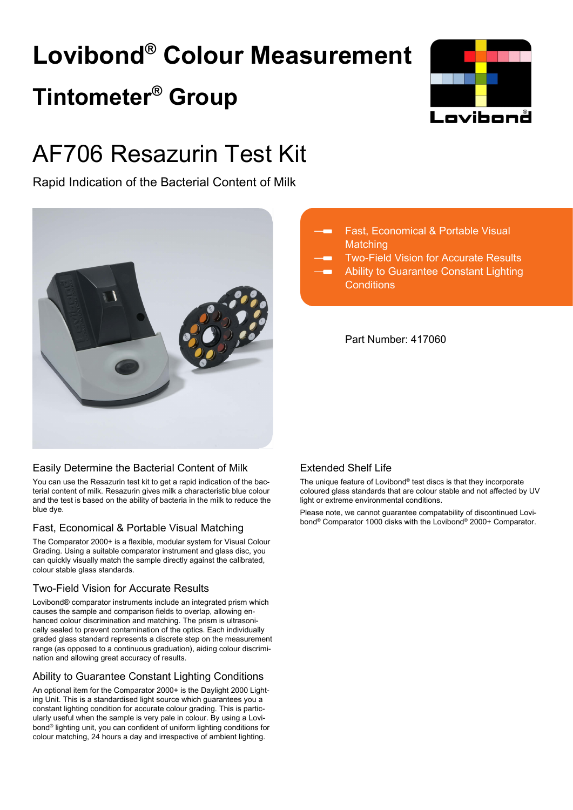# **Lovibond® Colour Measurement Tintometer® Group**



## AF706 Resazurin Test Kit

Rapid Indication of the Bacterial Content of Milk



### Easily Determine the Bacterial Content of Milk

You can use the Resazurin test kit to get a rapid indication of the bacterial content of milk. Resazurin gives milk a characteristic blue colour and the test is based on the ability of bacteria in the milk to reduce the blue dye.

### Fast, Economical & Portable Visual Matching

The Comparator 2000+ is a flexible, modular system for Visual Colour Grading. Using a suitable comparator instrument and glass disc, you can quickly visually match the sample directly against the calibrated, colour stable glass standards.

### Two-Field Vision for Accurate Results

Lovibond® comparator instruments include an integrated prism which causes the sample and comparison fields to overlap, allowing enhanced colour discrimination and matching. The prism is ultrasonically sealed to prevent contamination of the optics. Each individually graded glass standard represents a discrete step on the measurement range (as opposed to a continuous graduation), aiding colour discrimination and allowing great accuracy of results.

### Ability to Guarantee Constant Lighting Conditions

An optional item for the Comparator 2000+ is the Daylight 2000 Lighting Unit. This is a standardised light source which guarantees you a constant lighting condition for accurate colour grading. This is particularly useful when the sample is very pale in colour. By using a Lovibond® lighting unit, you can confident of uniform lighting conditions for colour matching, 24 hours a day and irrespective of ambient lighting.



Two-Field Vision for Accurate Results

Ability to Guarantee Constant Lighting **Conditions** 

Part Number: 417060

### Extended Shelf Life

The unique feature of Lovibond® test discs is that they incorporate coloured glass standards that are colour stable and not affected by UV light or extreme environmental conditions.

Please note, we cannot guarantee compatability of discontinued Lovibond® Comparator 1000 disks with the Lovibond® 2000+ Comparator.